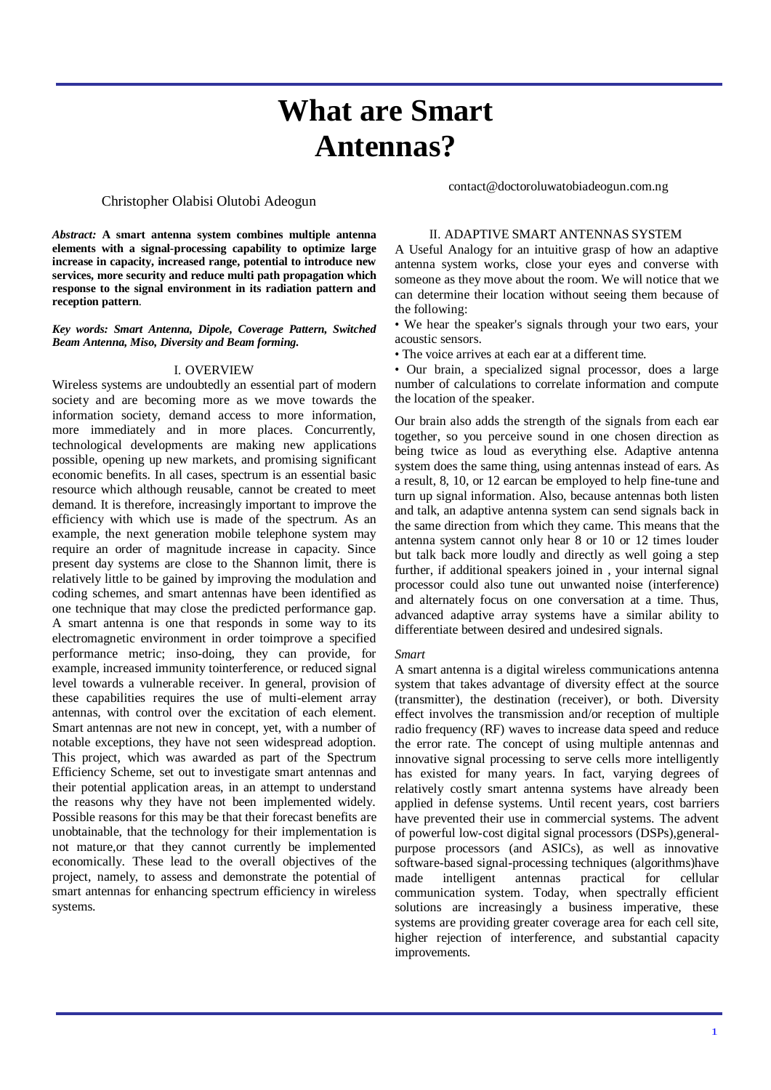# **What are Smart Antennas?**

## Christopher Olabisi Olutobi Adeogun

contact@doctoroluwatobiadeogun.com.ng

*Abstract:* **A smart antenna system combines multiple antenna elements with a signal-processing capability to optimize large increase in capacity, increased range, potential to introduce new services, more security and reduce multi path propagation which response to the signal environment in its radiation pattern and reception pattern**.

#### *Key words: Smart Antenna, Dipole, Coverage Pattern, Switched Beam Antenna, Miso, Diversity and Beam forming.*

#### I. OVERVIEW

Wireless systems are undoubtedly an essential part of modern society and are becoming more as we move towards the information society, demand access to more information, more immediately and in more places. Concurrently, technological developments are making new applications possible, opening up new markets, and promising significant economic benefits. In all cases, spectrum is an essential basic resource which although reusable, cannot be created to meet demand. It is therefore, increasingly important to improve the efficiency with which use is made of the spectrum. As an example, the next generation mobile telephone system may require an order of magnitude increase in capacity. Since present day systems are close to the Shannon limit, there is relatively little to be gained by improving the modulation and coding schemes, and smart antennas have been identified as one technique that may close the predicted performance gap. A smart antenna is one that responds in some way to its electromagnetic environment in order toimprove a specified performance metric; inso-doing, they can provide, for example, increased immunity tointerference, or reduced signal level towards a vulnerable receiver. In general, provision of these capabilities requires the use of multi-element array antennas, with control over the excitation of each element. Smart antennas are not new in concept, yet, with a number of notable exceptions, they have not seen widespread adoption. This project, which was awarded as part of the Spectrum Efficiency Scheme, set out to investigate smart antennas and their potential application areas, in an attempt to understand the reasons why they have not been implemented widely. Possible reasons for this may be that their forecast benefits are unobtainable, that the technology for their implementation is not mature,or that they cannot currently be implemented economically. These lead to the overall objectives of the project, namely, to assess and demonstrate the potential of smart antennas for enhancing spectrum efficiency in wireless systems.

## II. ADAPTIVE SMART ANTENNAS SYSTEM

A Useful Analogy for an intuitive grasp of how an adaptive antenna system works, close your eyes and converse with someone as they move about the room. We will notice that we can determine their location without seeing them because of the following:

• We hear the speaker's signals through your two ears, your acoustic sensors.

• The voice arrives at each ear at a different time.

• Our brain, a specialized signal processor, does a large number of calculations to correlate information and compute the location of the speaker.

Our brain also adds the strength of the signals from each ear together, so you perceive sound in one chosen direction as being twice as loud as everything else. Adaptive antenna system does the same thing, using antennas instead of ears. As a result, 8, 10, or 12 earcan be employed to help fine-tune and turn up signal information. Also, because antennas both listen and talk, an adaptive antenna system can send signals back in the same direction from which they came. This means that the antenna system cannot only hear 8 or 10 or 12 times louder but talk back more loudly and directly as well going a step further, if additional speakers joined in , your internal signal processor could also tune out unwanted noise (interference) and alternately focus on one conversation at a time. Thus, advanced adaptive array systems have a similar ability to differentiate between desired and undesired signals.

#### *Smart*

A smart antenna is a digital wireless communications antenna system that takes advantage of diversity effect at the source (transmitter), the destination (receiver), or both. Diversity effect involves the transmission and/or reception of multiple radio frequency (RF) waves to increase data speed and reduce the error rate. The concept of using multiple antennas and innovative signal processing to serve cells more intelligently has existed for many years. In fact, varying degrees of relatively costly smart antenna systems have already been applied in defense systems. Until recent years, cost barriers have prevented their use in commercial systems. The advent of powerful low-cost digital signal processors (DSPs),generalpurpose processors (and ASICs), as well as innovative software-based signal-processing techniques (algorithms)have made intelligent antennas practical for cellular communication system. Today, when spectrally efficient solutions are increasingly a business imperative, these systems are providing greater coverage area for each cell site, higher rejection of interference, and substantial capacity improvements.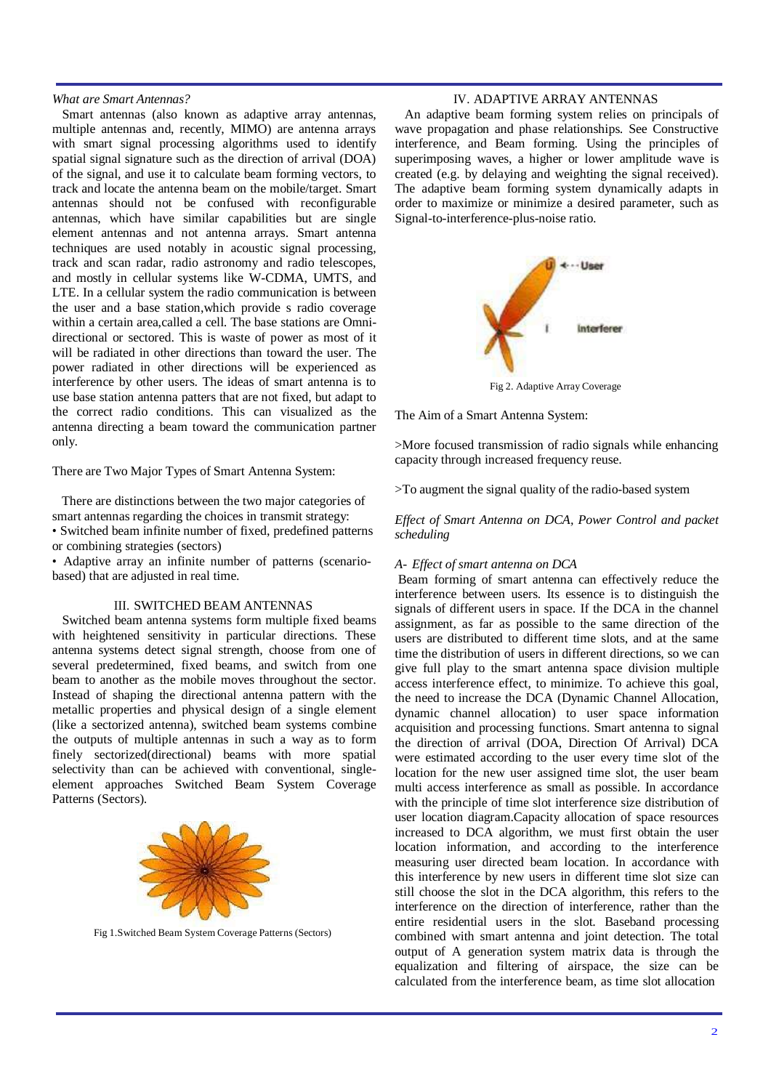#### *What are Smart Antennas?*

Smart antennas (also known as adaptive array antennas, multiple antennas and, recently, MIMO) are antenna arrays with smart signal processing algorithms used to identify spatial signal signature such as the direction of arrival (DOA) of the signal, and use it to calculate beam forming vectors, to track and locate the antenna beam on the mobile/target. Smart antennas should not be confused with reconfigurable antennas, which have similar capabilities but are single element antennas and not antenna arrays. Smart antenna techniques are used notably in acoustic signal processing, track and scan radar, radio astronomy and radio telescopes, and mostly in cellular systems like W-CDMA, UMTS, and LTE. In a cellular system the radio communication is between the user and a base station,which provide s radio coverage within a certain area,called a cell. The base stations are Omnidirectional or sectored. This is waste of power as most of it will be radiated in other directions than toward the user. The power radiated in other directions will be experienced as interference by other users. The ideas of smart antenna is to use base station antenna patters that are not fixed, but adapt to the correct radio conditions. This can visualized as the antenna directing a beam toward the communication partner only.

There are Two Major Types of Smart Antenna System:

There are distinctions between the two major categories of smart antennas regarding the choices in transmit strategy: • Switched beam infinite number of fixed, predefined patterns or combining strategies (sectors)

• Adaptive array an infinite number of patterns (scenariobased) that are adjusted in real time.

## III. SWITCHED BEAM ANTENNAS

Switched beam antenna systems form multiple fixed beams with heightened sensitivity in particular directions. These antenna systems detect signal strength, choose from one of several predetermined, fixed beams, and switch from one beam to another as the mobile moves throughout the sector. Instead of shaping the directional antenna pattern with the metallic properties and physical design of a single element (like a sectorized antenna), switched beam systems combine the outputs of multiple antennas in such a way as to form finely sectorized(directional) beams with more spatial selectivity than can be achieved with conventional, singleelement approaches Switched Beam System Coverage Patterns (Sectors).



Fig 1.Switched Beam System Coverage Patterns (Sectors)

# IV. ADAPTIVE ARRAY ANTENNAS

An adaptive beam forming system relies on principals of wave propagation and phase relationships. See Constructive interference, and Beam forming. Using the principles of superimposing waves, a higher or lower amplitude wave is created (e.g. by delaying and weighting the signal received). The adaptive beam forming system dynamically adapts in order to maximize or minimize a desired parameter, such as Signal-to-interference-plus-noise ratio.



Fig 2. Adaptive Array Coverage

The Aim of a Smart Antenna System:

>More focused transmission of radio signals while enhancing capacity through increased frequency reuse.

>To augment the signal quality of the radio-based system

*Effect of Smart Antenna on DCA, Power Control and packet scheduling*

# *A- Effect of smart antenna on DCA*

Beam forming of smart antenna can effectively reduce the interference between users. Its essence is to distinguish the signals of different users in space. If the DCA in the channel assignment, as far as possible to the same direction of the users are distributed to different time slots, and at the same time the distribution of users in different directions, so we can give full play to the smart antenna space division multiple access interference effect, to minimize. To achieve this goal, the need to increase the DCA (Dynamic Channel Allocation, dynamic channel allocation) to user space information acquisition and processing functions. Smart antenna to signal the direction of arrival (DOA, Direction Of Arrival) DCA were estimated according to the user every time slot of the location for the new user assigned time slot, the user beam multi access interference as small as possible. In accordance with the principle of time slot interference size distribution of user location diagram.Capacity allocation of space resources increased to DCA algorithm, we must first obtain the user location information, and according to the interference measuring user directed beam location. In accordance with this interference by new users in different time slot size can still choose the slot in the DCA algorithm, this refers to the interference on the direction of interference, rather than the entire residential users in the slot. Baseband processing combined with smart antenna and joint detection. The total output of A generation system matrix data is through the equalization and filtering of airspace, the size can be calculated from the interference beam, as time slot allocation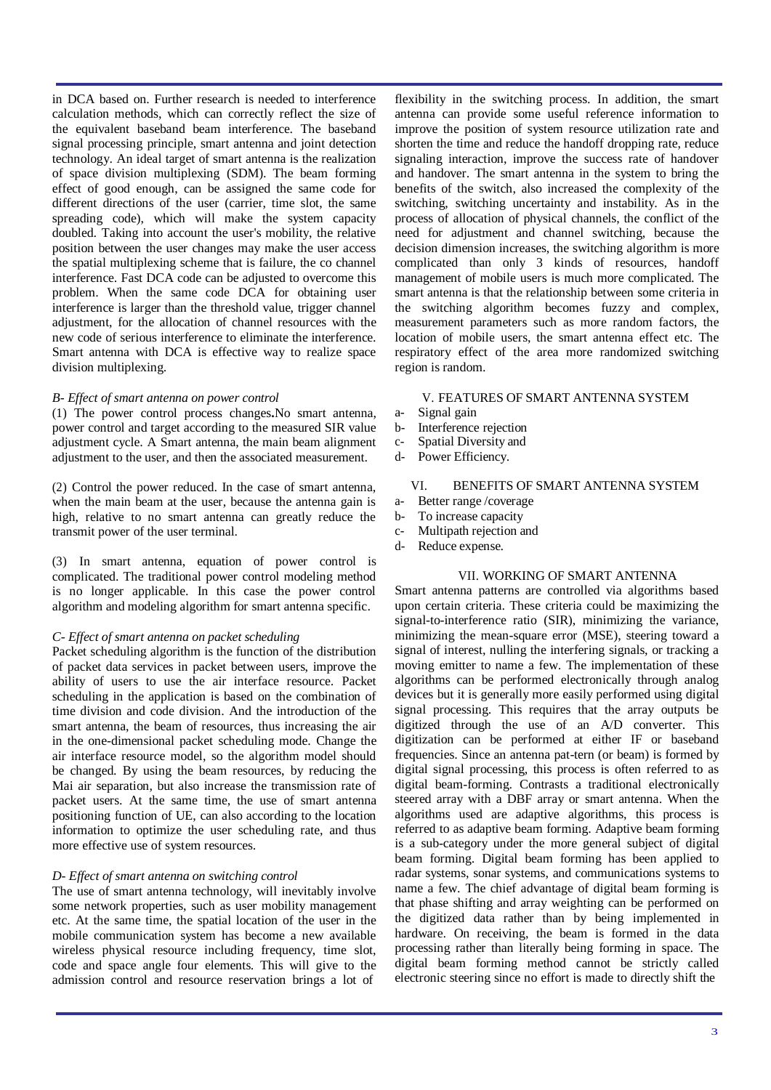in DCA based on. Further research is needed to interference calculation methods, which can correctly reflect the size of the equivalent baseband beam interference. The baseband signal processing principle, smart antenna and joint detection technology. An ideal target of smart antenna is the realization of space division multiplexing (SDM). The beam forming effect of good enough, can be assigned the same code for different directions of the user (carrier, time slot, the same spreading code), which will make the system capacity doubled. Taking into account the user's mobility, the relative position between the user changes may make the user access the spatial multiplexing scheme that is failure, the co channel interference. Fast DCA code can be adjusted to overcome this problem. When the same code DCA for obtaining user interference is larger than the threshold value, trigger channel adjustment, for the allocation of channel resources with the new code of serious interference to eliminate the interference. Smart antenna with DCA is effective way to realize space division multiplexing.

## *B- Effect of smart antenna on power control*

(1) The power control process changes**.**No smart antenna, power control and target according to the measured SIR value adjustment cycle. A Smart antenna, the main beam alignment adjustment to the user, and then the associated measurement.

(2) Control the power reduced. In the case of smart antenna, when the main beam at the user, because the antenna gain is high, relative to no smart antenna can greatly reduce the transmit power of the user terminal.

(3) In smart antenna, equation of power control is complicated. The traditional power control modeling method is no longer applicable. In this case the power control algorithm and modeling algorithm for smart antenna specific.

# *C- Effect of smart antenna on packet scheduling*

Packet scheduling algorithm is the function of the distribution of packet data services in packet between users, improve the ability of users to use the air interface resource. Packet scheduling in the application is based on the combination of time division and code division. And the introduction of the smart antenna, the beam of resources, thus increasing the air in the one-dimensional packet scheduling mode. Change the air interface resource model, so the algorithm model should be changed. By using the beam resources, by reducing the Mai air separation, but also increase the transmission rate of packet users. At the same time, the use of smart antenna positioning function of UE, can also according to the location information to optimize the user scheduling rate, and thus more effective use of system resources.

# *D- Effect of smart antenna on switching control*

The use of smart antenna technology, will inevitably involve some network properties, such as user mobility management etc. At the same time, the spatial location of the user in the mobile communication system has become a new available wireless physical resource including frequency, time slot, code and space angle four elements. This will give to the admission control and resource reservation brings a lot of

flexibility in the switching process. In addition, the smart antenna can provide some useful reference information to improve the position of system resource utilization rate and shorten the time and reduce the handoff dropping rate, reduce signaling interaction, improve the success rate of handover and handover. The smart antenna in the system to bring the benefits of the switch, also increased the complexity of the switching, switching uncertainty and instability. As in the process of allocation of physical channels, the conflict of the need for adjustment and channel switching, because the decision dimension increases, the switching algorithm is more complicated than only 3 kinds of resources, handoff management of mobile users is much more complicated. The smart antenna is that the relationship between some criteria in the switching algorithm becomes fuzzy and complex, measurement parameters such as more random factors, the location of mobile users, the smart antenna effect etc. The respiratory effect of the area more randomized switching region is random.

# V. FEATURES OF SMART ANTENNA SYSTEM

- a- Signal gain
- b- Interference rejection
- c- Spatial Diversity and
- d- Power Efficiency.

# VI. BENEFITS OF SMART ANTENNA SYSTEM

- a- Better range /coverage
- b- To increase capacity
- c- Multipath rejection and
- d- Reduce expense.

## VII. WORKING OF SMART ANTENNA

Smart antenna patterns are controlled via algorithms based upon certain criteria. These criteria could be maximizing the signal-to-interference ratio (SIR), minimizing the variance, minimizing the mean-square error (MSE), steering toward a signal of interest, nulling the interfering signals, or tracking a moving emitter to name a few. The implementation of these algorithms can be performed electronically through analog devices but it is generally more easily performed using digital signal processing. This requires that the array outputs be digitized through the use of an A/D converter. This digitization can be performed at either IF or baseband frequencies. Since an antenna pat-tern (or beam) is formed by digital signal processing, this process is often referred to as digital beam-forming. Contrasts a traditional electronically steered array with a DBF array or smart antenna. When the algorithms used are adaptive algorithms, this process is referred to as adaptive beam forming. Adaptive beam forming is a sub-category under the more general subject of digital beam forming. Digital beam forming has been applied to radar systems, sonar systems, and communications systems to name a few. The chief advantage of digital beam forming is that phase shifting and array weighting can be performed on the digitized data rather than by being implemented in hardware. On receiving, the beam is formed in the data processing rather than literally being forming in space. The digital beam forming method cannot be strictly called electronic steering since no effort is made to directly shift the